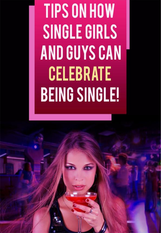# **TIPS ON HOW SINGLE GIRLS AND GUYS CAN CELEBRATE BEING SINGLE!**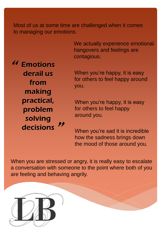Most of us at some time are challenged when it comes to managing our emotions.

> We actually experience emotional hangovers and feelings are contagious.

"derail us from making practical, problem solving  $\int$ 

When you're happy, it is easy for others to feel happy around you.

When you're happy, it is easy for others to feel happy around you.

When you're sad it is incredible how the sadness brings down the mood of those around you.

When you are stressed or angry, it is really easy to escalate a conversation with someone to the point where both of you are feeling and behaving angrily.

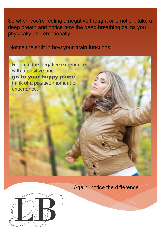So when you're feeling a negative thought or emotion, take a deep breath and notice how the deep breathing calms you physically and emotionally.

Notice the shift in how your brain functions.

Replace the negative experience with a positive one . . . go to your happy place . think of a positive moment or experience.



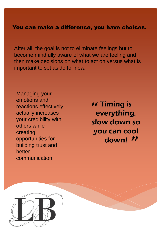#### You can make a difference, you have choices.

After all, the goal is not to eliminate feelings but to become mindfully aware of what we are feeling and then make decisions on what to act on versus what is important to set aside for now.

Managing your emotions and reactions effectively actually increases your credibility with others while creating opportunities for building trust and better communication.

 $\frac{1}{s}$ everything,  $down!$   $''$ 

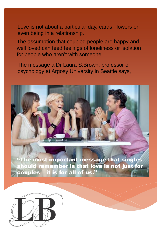Love is not about a particular day, cards, flowers or even being in a relationship.

The assumption that coupled people are happy and well loved can feed feelings of loneliness or isolation for people who aren't with someone.

The message a Dr Laura S.Brown, professor of psychology at Argosy University in Seattle says,

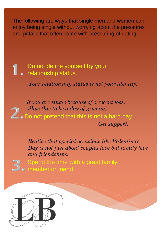The following are ways that single men and women can enjoy being single without worrying about the pressures and pitfalls that often come with pressuring of dating.

Do not define yourself by your **relationship status.** 

*Your relationship status is not your identity.* 

Do not pretend that this is not a hard day. *If you are single because of a recent loss, allow this to be a day of grieving. Get support.*

> *Realise that special occasions like Valentine's Day is not just about couples love but family love and friendships.*



Spend the time with a great family member or friend.

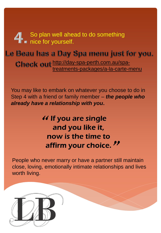So plan well ahead to do something nice for yourself.

## Le Beau has a Day Spa menu just for you.

Check out http://day-spa-perth.com.au/spa[treatments-packages/a-la-carte-menu](http://day-spa-perth.com.au/spa-treatments-packages/a-la-carte-menu)

You may like to embark on whatever you choose to do in Step 4 with a friend or family member – *the people who already have a relationship with you***.** 

### « If you are single and you like it, now is the time to affirm your choice."

People who never marry or have a partner still maintain close, loving, emotionally intimate relationships and lives worth living.